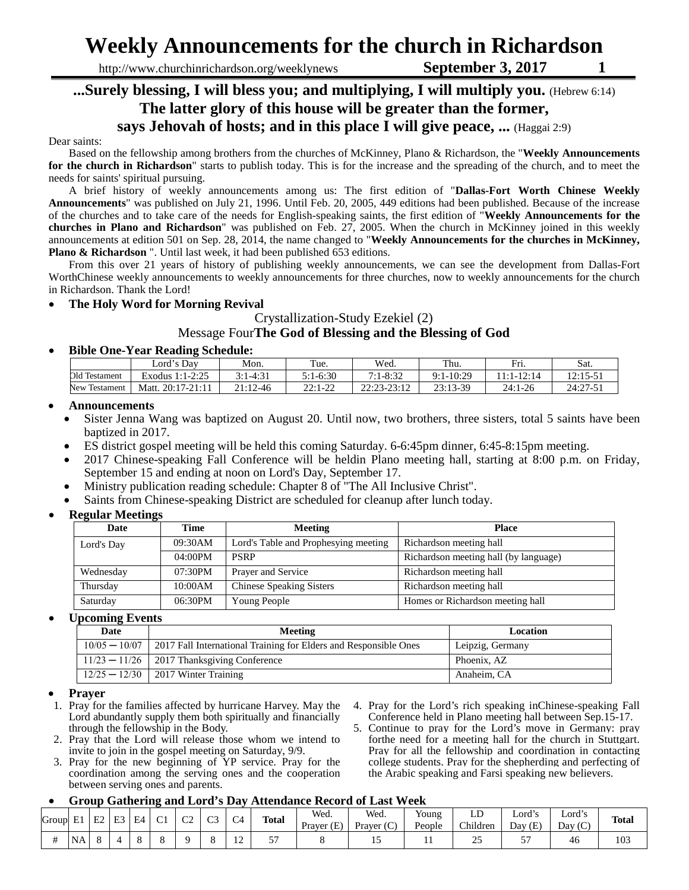# **Weekly Announcements for the church in Richardson**

http://www.churchinrichardson.org/weeklynews **September 3, 2017** 1

### **...Surely blessing, I will bless you; and multiplying, I will multiply you.** (Hebrew 6:14) **The latter glory of this house will be greater than the former, says Jehovah of hosts; and in this place I will give peace, ...** (Haggai 2:9)

#### Dear saints:

Based on the fellowship among brothers from the churches of McKinney, Plano & Richardson, the "**Weekly Announcements for the church in Richardson**" starts to publish today. This is for the increase and the spreading of the church, and to meet the needs for saints' spiritual pursuing.

A brief history of weekly announcements among us: The first edition of "**Dallas-Fort Worth Chinese Weekly Announcements**" was published on July 21, 1996. Until Feb. 20, 2005, 449 editions had been published. Because of the increase of the churches and to take care of the needs for English-speaking saints, the first edition of "**Weekly Announcements for the churches in Plano and Richardson**" was published on Feb. 27, 2005. When the church in McKinney joined in this weekly announcements at edition 501 on Sep. 28, 2014, the name changed to "**Weekly Announcements for the churches in McKinney, Plano & Richardson** ". Until last week, it had been published 653 editions.

From this over 21 years of history of publishing weekly announcements, we can see the development from Dallas-Fort WorthChinese weekly announcements to weekly announcements for three churches, now to weekly announcements for the church in Richardson. Thank the Lord!

#### • **The Holy Word for Morning Revival**

#### Crystallization-Study Ezekiel (2) Message Four**The God of Blessing and the Blessing of God**

#### • **Bible One-Year Reading Schedule:**

|                  | ∟ord's Dav                    | Mon.                       | Tue.              | Wed.               | Thu.        | Fri.      | Sat.         |  |
|------------------|-------------------------------|----------------------------|-------------------|--------------------|-------------|-----------|--------------|--|
| Old Testament    | 7.25<br>Exodus 1<br>$1:1-2:2$ | $.1 - 4:31$<br>$2 \cdot 1$ | $5:1-6:30$        | $7:1 - 8:32$       | $9:1-10:29$ | 12:14     | $12.15 - 51$ |  |
| Testament<br>New | 20:17-21:11<br>Matt.          | $21:12-46$                 | 22.122<br>22:1-22 | 22.23.12<br>-23.12 | 23:13-39    | $24:1-26$ | 24:27-51     |  |

#### • **Announcements**

- Sister Jenna Wang was baptized on August 20. Until now, two brothers, three sisters, total 5 saints have been baptized in 2017.
- ES district gospel meeting will be held this coming Saturday. 6-6:45pm dinner, 6:45-8:15pm meeting.
- 2017 Chinese-speaking Fall Conference will be heldin Plano meeting hall, starting at 8:00 p.m. on Friday, September 15 and ending at noon on Lord's Day, September 17.
- Ministry publication reading schedule: Chapter 8 of "The All Inclusive Christ".
- Saints from Chinese-speaking District are scheduled for cleanup after lunch today.

#### • **Regular Meetings**

| <b>Time</b> | <b>Meeting</b>                       | <b>Place</b>                          |
|-------------|--------------------------------------|---------------------------------------|
| 09:30AM     | Lord's Table and Prophesying meeting | Richardson meeting hall               |
| $04:00$ PM  | <b>PSRP</b>                          | Richardson meeting hall (by language) |
| 07:30PM     | Prayer and Service                   | Richardson meeting hall               |
| 10:00AM     | <b>Chinese Speaking Sisters</b>      | Richardson meeting hall               |
| 06:30PM     | Young People                         | Homes or Richardson meeting hall      |
|             |                                      |                                       |

#### • **Upcoming Events**

| $\overline{\phantom{a}}$<br>Date | Meeting                                                                            | Location         |  |  |  |
|----------------------------------|------------------------------------------------------------------------------------|------------------|--|--|--|
|                                  | $10/05 - 10/07$   2017 Fall International Training for Elders and Responsible Ones | Leipzig, Germany |  |  |  |
|                                  | $11/23 - 11/26$   2017 Thanksgiving Conference                                     | Phoenix, AZ      |  |  |  |
|                                  | $12/25 - 12/30$   2017 Winter Training                                             | Anaheim. CA      |  |  |  |

#### • **Prayer**

- 1. Pray for the families affected by hurricane Harvey. May the Lord abundantly supply them both spiritually and financially through the fellowship in the Body.
- 2. Pray that the Lord will release those whom we intend to invite to join in the gospel meeting on Saturday, 9/9.
- 3. Pray for the new beginning of YP service. Pray for the coordination among the serving ones and the cooperation between serving ones and parents.
- 4. Pray for the Lord's rich speaking inChinese-speaking Fall Conference held in Plano meeting hall between Sep.15-17.
- 5. Continue to pray for the Lord's move in Germany: pray forthe need for a meeting hall for the church in Stuttgart. Pray for all the fellowship and coordination in contacting college students. Pray for the shepherding and perfecting of the Arabic speaking and Farsi speaking new believers.

#### • **Group Gathering and Lord's Day Attendance Record of Last Week**

| Group                  | E         | E2 | E3 | E4 | $\sim$<br>◡ | $\sim$<br>ັ | $\sim$<br>ت | $\sim$<br>$\mathcal{L}^4$ | <b>Total</b>             | Wed.<br>Prayer $(E)$ | Wed.<br>$\sim$<br>Prayer $(C,$ | $\mathbf{v}$<br>Young<br>People | <b>T</b> T<br>ப<br>Children | $\mathbf{H}$<br>Lord´s<br>Day(E) | $\mathbf{r}$<br>Lord's<br>Day (C)<br>$\sim$ | <b>Total</b> |
|------------------------|-----------|----|----|----|-------------|-------------|-------------|---------------------------|--------------------------|----------------------|--------------------------------|---------------------------------|-----------------------------|----------------------------------|---------------------------------------------|--------------|
| #<br>$^{\prime\prime}$ | <b>NA</b> |    |    |    |             |             |             | $\sim$<br>$\overline{1}$  | $\overline{\phantom{a}}$ |                      | ⊥J                             | . .                             | ت                           | --<br>J.                         | 46                                          | 103          |